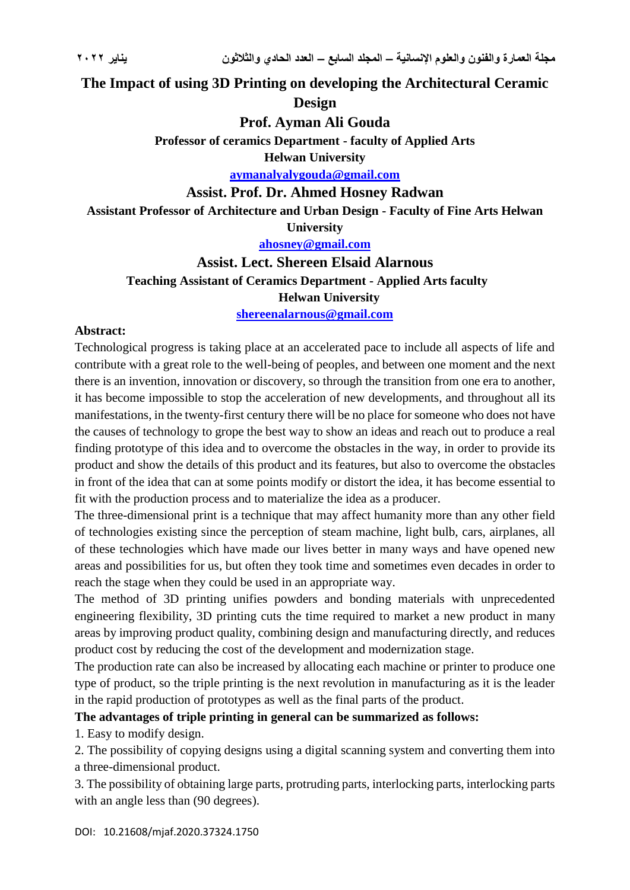### **The Impact of using 3D Printing on developing the Architectural Ceramic**

**Design**

**Prof. Ayman Ali Gouda**

**Professor of ceramics Department - faculty of Applied Arts**

**Helwan University**

**[aymanalyalygouda@gmail.com](mailto:aymanalyalygouda@gmail.com)**

#### **Assist. Prof. Dr. Ahmed Hosney Radwan**

**Assistant Professor of Architecture and Urban Design - Faculty of Fine Arts Helwan** 

**University**

**[ahosney@gmail.com](mailto:ahosney@gmail.com)**

# **Assist. Lect. Shereen Elsaid Alarnous Teaching Assistant of Ceramics Department - Applied Arts faculty Helwan University**

**<shereenalarnous@gmail.com>**

#### **Abstract:**

Technological progress is taking place at an accelerated pace to include all aspects of life and contribute with a great role to the well-being of peoples, and between one moment and the next there is an invention, innovation or discovery, so through the transition from one era to another, it has become impossible to stop the acceleration of new developments, and throughout all its manifestations, in the twenty-first century there will be no place for someone who does not have the causes of technology to grope the best way to show an ideas and reach out to produce a real finding prototype of this idea and to overcome the obstacles in the way, in order to provide its product and show the details of this product and its features, but also to overcome the obstacles in front of the idea that can at some points modify or distort the idea, it has become essential to fit with the production process and to materialize the idea as a producer.

The three-dimensional print is a technique that may affect humanity more than any other field of technologies existing since the perception of steam machine, light bulb, cars, airplanes, all of these technologies which have made our lives better in many ways and have opened new areas and possibilities for us, but often they took time and sometimes even decades in order to reach the stage when they could be used in an appropriate way.

The method of 3D printing unifies powders and bonding materials with unprecedented engineering flexibility, 3D printing cuts the time required to market a new product in many areas by improving product quality, combining design and manufacturing directly, and reduces product cost by reducing the cost of the development and modernization stage.

The production rate can also be increased by allocating each machine or printer to produce one type of product, so the triple printing is the next revolution in manufacturing as it is the leader in the rapid production of prototypes as well as the final parts of the product.

#### **The advantages of triple printing in general can be summarized as follows:**

1. Easy to modify design.

2. The possibility of copying designs using a digital scanning system and converting them into a three-dimensional product.

3. The possibility of obtaining large parts, protruding parts, interlocking parts, interlocking parts with an angle less than (90 degrees).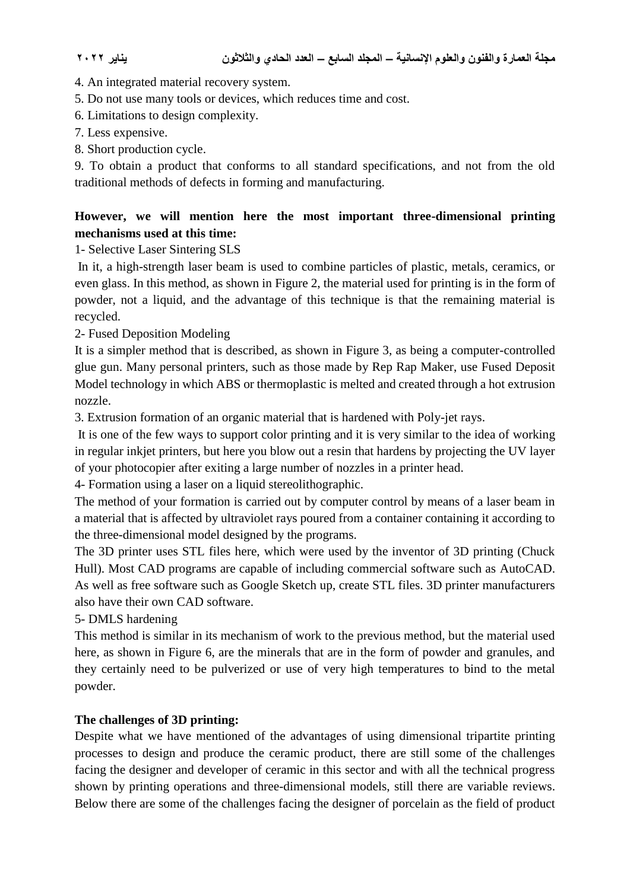4. An integrated material recovery system.

5. Do not use many tools or devices, which reduces time and cost.

6. Limitations to design complexity.

7. Less expensive.

8. Short production cycle.

9. To obtain a product that conforms to all standard specifications, and not from the old traditional methods of defects in forming and manufacturing.

### **However, we will mention here the most important three-dimensional printing mechanisms used at this time:**

1- Selective Laser Sintering SLS

In it, a high-strength laser beam is used to combine particles of plastic, metals, ceramics, or even glass. In this method, as shown in Figure 2, the material used for printing is in the form of powder, not a liquid, and the advantage of this technique is that the remaining material is recycled.

2- Fused Deposition Modeling

It is a simpler method that is described, as shown in Figure 3, as being a computer-controlled glue gun. Many personal printers, such as those made by Rep Rap Maker, use Fused Deposit Model technology in which ABS or thermoplastic is melted and created through a hot extrusion nozzle.

3. Extrusion formation of an organic material that is hardened with Poly-jet rays.

It is one of the few ways to support color printing and it is very similar to the idea of working in regular inkjet printers, but here you blow out a resin that hardens by projecting the UV layer of your photocopier after exiting a large number of nozzles in a printer head.

4- Formation using a laser on a liquid stereolithographic.

The method of your formation is carried out by computer control by means of a laser beam in a material that is affected by ultraviolet rays poured from a container containing it according to the three-dimensional model designed by the programs.

The 3D printer uses STL files here, which were used by the inventor of 3D printing (Chuck Hull). Most CAD programs are capable of including commercial software such as AutoCAD. As well as free software such as Google Sketch up, create STL files. 3D printer manufacturers also have their own CAD software.

5- DMLS hardening

This method is similar in its mechanism of work to the previous method, but the material used here, as shown in Figure 6, are the minerals that are in the form of powder and granules, and they certainly need to be pulverized or use of very high temperatures to bind to the metal powder.

### **The challenges of 3D printing:**

Despite what we have mentioned of the advantages of using dimensional tripartite printing processes to design and produce the ceramic product, there are still some of the challenges facing the designer and developer of ceramic in this sector and with all the technical progress shown by printing operations and three-dimensional models, still there are variable reviews. Below there are some of the challenges facing the designer of porcelain as the field of product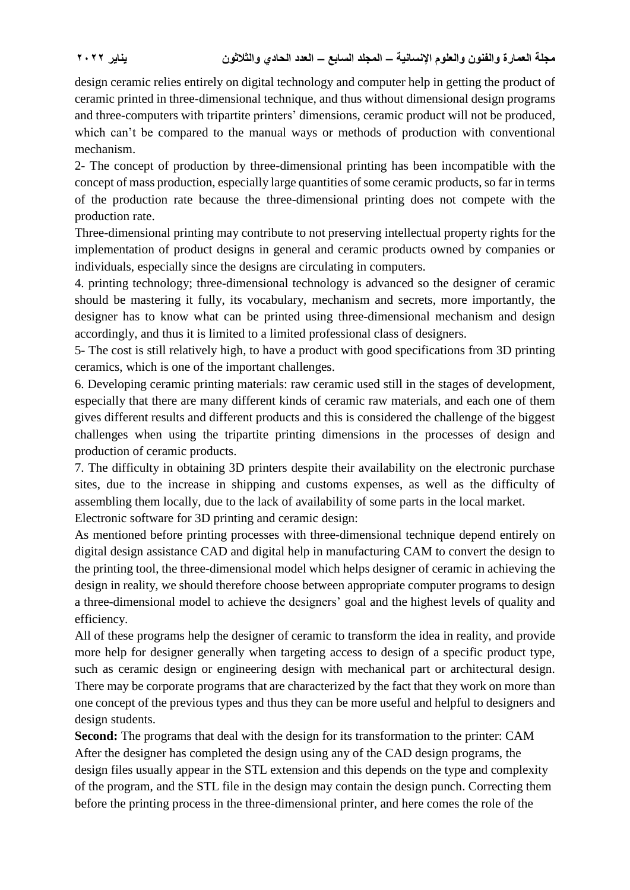design ceramic relies entirely on digital technology and computer help in getting the product of ceramic printed in three-dimensional technique, and thus without dimensional design programs and three-computers with tripartite printers' dimensions, ceramic product will not be produced, which can't be compared to the manual ways or methods of production with conventional mechanism.

2- The concept of production by three-dimensional printing has been incompatible with the concept of mass production, especially large quantities of some ceramic products, so far in terms of the production rate because the three-dimensional printing does not compete with the production rate.

Three-dimensional printing may contribute to not preserving intellectual property rights for the implementation of product designs in general and ceramic products owned by companies or individuals, especially since the designs are circulating in computers.

4. printing technology; three-dimensional technology is advanced so the designer of ceramic should be mastering it fully, its vocabulary, mechanism and secrets, more importantly, the designer has to know what can be printed using three-dimensional mechanism and design accordingly, and thus it is limited to a limited professional class of designers.

5- The cost is still relatively high, to have a product with good specifications from 3D printing ceramics, which is one of the important challenges.

6. Developing ceramic printing materials: raw ceramic used still in the stages of development, especially that there are many different kinds of ceramic raw materials, and each one of them gives different results and different products and this is considered the challenge of the biggest challenges when using the tripartite printing dimensions in the processes of design and production of ceramic products.

7. The difficulty in obtaining 3D printers despite their availability on the electronic purchase sites, due to the increase in shipping and customs expenses, as well as the difficulty of assembling them locally, due to the lack of availability of some parts in the local market.

Electronic software for 3D printing and ceramic design:

As mentioned before printing processes with three-dimensional technique depend entirely on digital design assistance CAD and digital help in manufacturing CAM to convert the design to the printing tool, the three-dimensional model which helps designer of ceramic in achieving the design in reality, we should therefore choose between appropriate computer programs to design a three-dimensional model to achieve the designers' goal and the highest levels of quality and efficiency.

All of these programs help the designer of ceramic to transform the idea in reality, and provide more help for designer generally when targeting access to design of a specific product type, such as ceramic design or engineering design with mechanical part or architectural design. There may be corporate programs that are characterized by the fact that they work on more than one concept of the previous types and thus they can be more useful and helpful to designers and design students.

**Second:** The programs that deal with the design for its transformation to the printer: CAM After the designer has completed the design using any of the CAD design programs, the design files usually appear in the STL extension and this depends on the type and complexity of the program, and the STL file in the design may contain the design punch. Correcting them before the printing process in the three-dimensional printer, and here comes the role of the